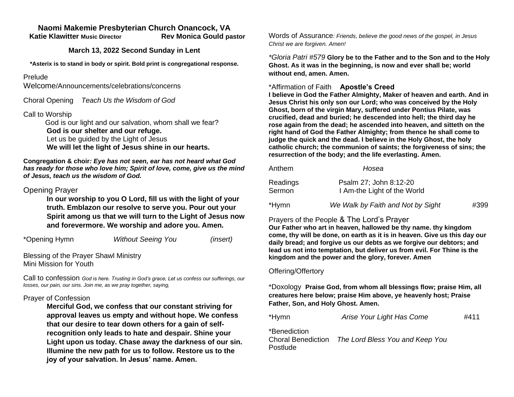# **Naomi Makemie Presbyterian Church Onancock, VA**

 **Katie Klawitter Music Director Rev Monica Gould pastor**

#### **March 13, 2022 Second Sunday in Lent**

**\*Asterix is to stand in body or spirit. Bold print is congregational response.**

#### Prelude

Welcome/Announcements/celebrations/concerns

Choral Opening *Teach Us the Wisdom of God*

#### Call to Worship

 God is our light and our salvation, whom shall we fear? **God is our shelter and our refuge.** Let us be guided by the Light of Jesus **We will let the light of Jesus shine in our hearts.**

**Congregation & choir***: Eye has not seen, ear has not heard what God has ready for those who love him; Spirit of love, come, give us the mind of Jesus, teach us the wisdom of God.* 

## Opening Prayer

**In our worship to you O Lord, fill us with the light of your truth. Emblazon our resolve to serve you. Pour out your Spirit among us that we will turn to the Light of Jesus now and forevermore. We worship and adore you. Amen.**

\*Opening Hymn *Without Seeing You (insert)*

Blessing of the Prayer Shawl Ministry Mini Mission for Youth

Call to confession *God is here. Trusting in God's grace, Let us confess our sufferings, our losses, our pain, our sins. Join me, as we pray together, saying,*

#### Prayer of Confession

**Merciful God, we confess that our constant striving for approval leaves us empty and without hope. We confess that our desire to tear down others for a gain of selfrecognition only leads to hate and despair. Shine your Light upon us today. Chase away the darkness of our sin. Illumine the new path for us to follow. Restore us to the joy of your salvation. In Jesus' name. Amen.** 

Words of Assurance*: Friends, believe the good news of the gospel, in Jesus Christ we are forgiven. Amen!*

*\*Gloria Patri #579* **Glory be to the Father and to the Son and to the Holy Ghost. As it was in the beginning, is now and ever shall be; world without end, amen. Amen.** 

### \*Affirmation of Faith **Apostle's Creed**

**I believe in God the Father Almighty, Maker of heaven and earth. And in Jesus Christ his only son our Lord; who was conceived by the Holy Ghost, born of the virgin Mary, suffered under Pontius Pilate, was crucified, dead and buried; he descended into hell; the third day he rose again from the dead; he ascended into heaven, and sitteth on the right hand of God the Father Almighty; from thence he shall come to judge the quick and the dead. I believe in the Holy Ghost, the holy catholic church; the communion of saints; the forgiveness of sins; the resurrection of the body; and the life everlasting. Amen.**

| Anthem             | Hosea                                                 |      |
|--------------------|-------------------------------------------------------|------|
| Readings<br>Sermon | Psalm 27; John 8:12-20<br>I Am-the Light of the World |      |
| *Hymn              | We Walk by Faith and Not by Sight                     | #399 |

## Prayers of the People & The Lord's Prayer

**Our Father who art in heaven, hallowed be thy name. thy kingdom come, thy will be done, on earth as it is in heaven. Give us this day our daily bread; and forgive us our debts as we forgive our debtors; and lead us not into temptation, but deliver us from evil. For Thine is the kingdom and the power and the glory, forever. Amen**

## Offering/Offertory

\*Doxology **Praise God, from whom all blessings flow; praise Him, all creatures here below; praise Him above, ye heavenly host; Praise Father, Son, and Holy Ghost. Amen.** 

| *Hymn                     | Arise Your Light Has Come       | #411 |
|---------------------------|---------------------------------|------|
| *Benediction              |                                 |      |
| <b>Choral Benediction</b> | The Lord Bless You and Keep You |      |

Postlude